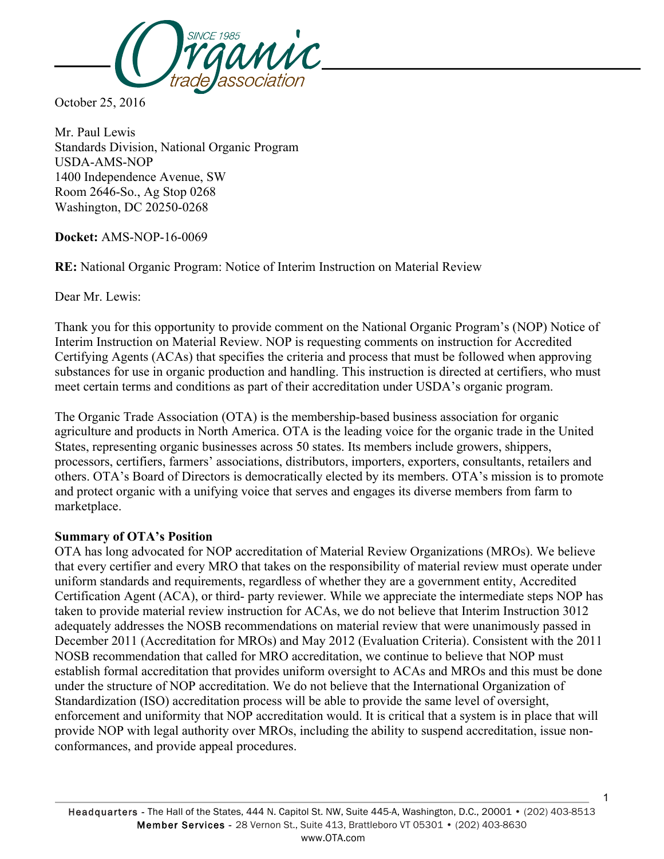

October 25, 2016

Mr. Paul Lewis Standards Division, National Organic Program USDA-AMS-NOP 1400 Independence Avenue, SW Room 2646-So., Ag Stop 0268 Washington, DC 20250-0268

**Docket:** AMS-NOP-16-0069

**RE:** National Organic Program: Notice of Interim Instruction on Material Review

Dear Mr. Lewis:

Thank you for this opportunity to provide comment on the National Organic Program's (NOP) Notice of Interim Instruction on Material Review. NOP is requesting comments on instruction for Accredited Certifying Agents (ACAs) that specifies the criteria and process that must be followed when approving substances for use in organic production and handling. This instruction is directed at certifiers, who must meet certain terms and conditions as part of their accreditation under USDA's organic program.

The Organic Trade Association (OTA) is the membership-based business association for organic agriculture and products in North America. OTA is the leading voice for the organic trade in the United States, representing organic businesses across 50 states. Its members include growers, shippers, processors, certifiers, farmers' associations, distributors, importers, exporters, consultants, retailers and others. OTA's Board of Directors is democratically elected by its members. OTA's mission is to promote and protect organic with a unifying voice that serves and engages its diverse members from farm to marketplace.

## **Summary of OTA's Position**

OTA has long advocated for NOP accreditation of Material Review Organizations (MROs). We believe that every certifier and every MRO that takes on the responsibility of material review must operate under uniform standards and requirements, regardless of whether they are a government entity, Accredited Certification Agent (ACA), or third- party reviewer. While we appreciate the intermediate steps NOP has taken to provide material review instruction for ACAs, we do not believe that Interim Instruction 3012 adequately addresses the NOSB recommendations on material review that were unanimously passed in December 2011 (Accreditation for MROs) and May 2012 (Evaluation Criteria). Consistent with the 2011 NOSB recommendation that called for MRO accreditation, we continue to believe that NOP must establish formal accreditation that provides uniform oversight to ACAs and MROs and this must be done under the structure of NOP accreditation. We do not believe that the International Organization of Standardization (ISO) accreditation process will be able to provide the same level of oversight, enforcement and uniformity that NOP accreditation would. It is critical that a system is in place that will provide NOP with legal authority over MROs, including the ability to suspend accreditation, issue nonconformances, and provide appeal procedures.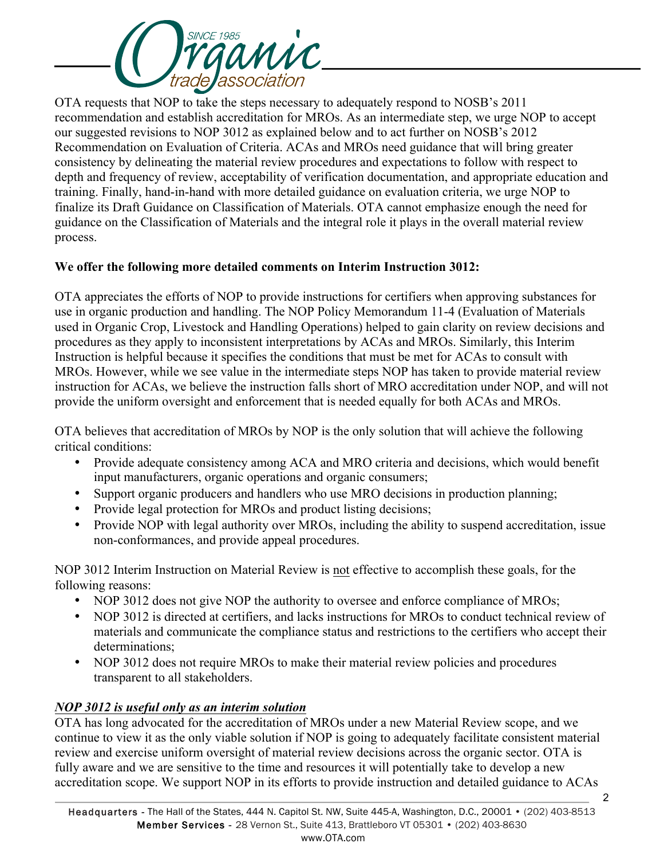

OTA requests that NOP to take the steps necessary to adequately respond to NOSB's 2011 recommendation and establish accreditation for MROs. As an intermediate step, we urge NOP to accept our suggested revisions to NOP 3012 as explained below and to act further on NOSB's 2012 Recommendation on Evaluation of Criteria. ACAs and MROs need guidance that will bring greater consistency by delineating the material review procedures and expectations to follow with respect to depth and frequency of review, acceptability of verification documentation, and appropriate education and training. Finally, hand-in-hand with more detailed guidance on evaluation criteria, we urge NOP to finalize its Draft Guidance on Classification of Materials. OTA cannot emphasize enough the need for guidance on the Classification of Materials and the integral role it plays in the overall material review process.

## **We offer the following more detailed comments on Interim Instruction 3012:**

OTA appreciates the efforts of NOP to provide instructions for certifiers when approving substances for use in organic production and handling. The NOP Policy Memorandum 11-4 (Evaluation of Materials used in Organic Crop, Livestock and Handling Operations) helped to gain clarity on review decisions and procedures as they apply to inconsistent interpretations by ACAs and MROs. Similarly, this Interim Instruction is helpful because it specifies the conditions that must be met for ACAs to consult with MROs. However, while we see value in the intermediate steps NOP has taken to provide material review instruction for ACAs, we believe the instruction falls short of MRO accreditation under NOP, and will not provide the uniform oversight and enforcement that is needed equally for both ACAs and MROs.

OTA believes that accreditation of MROs by NOP is the only solution that will achieve the following critical conditions:

- Provide adequate consistency among ACA and MRO criteria and decisions, which would benefit input manufacturers, organic operations and organic consumers;
- Support organic producers and handlers who use MRO decisions in production planning;
- Provide legal protection for MROs and product listing decisions;
- Provide NOP with legal authority over MROs, including the ability to suspend accreditation, issue non-conformances, and provide appeal procedures.

NOP 3012 Interim Instruction on Material Review is not effective to accomplish these goals, for the following reasons:

- NOP 3012 does not give NOP the authority to oversee and enforce compliance of MROs;
- NOP 3012 is directed at certifiers, and lacks instructions for MROs to conduct technical review of materials and communicate the compliance status and restrictions to the certifiers who accept their determinations;
- NOP 3012 does not require MROs to make their material review policies and procedures transparent to all stakeholders.

## *NOP 3012 is useful only as an interim solution*

OTA has long advocated for the accreditation of MROs under a new Material Review scope, and we continue to view it as the only viable solution if NOP is going to adequately facilitate consistent material review and exercise uniform oversight of material review decisions across the organic sector. OTA is fully aware and we are sensitive to the time and resources it will potentially take to develop a new accreditation scope. We support NOP in its efforts to provide instruction and detailed guidance to ACAs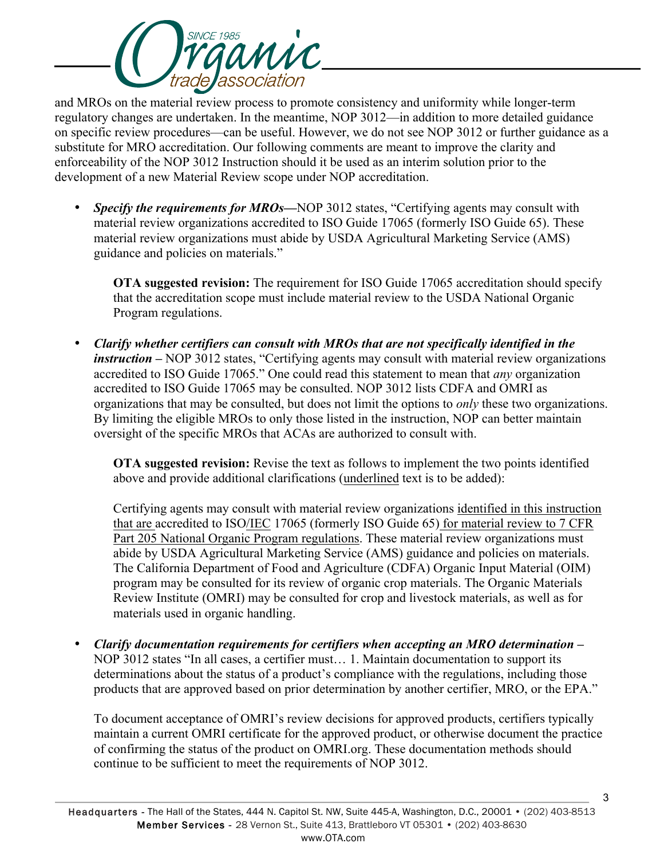

and MROs on the material review process to promote consistency and uniformity while longer-term regulatory changes are undertaken. In the meantime, NOP 3012—in addition to more detailed guidance on specific review procedures—can be useful. However, we do not see NOP 3012 or further guidance as a substitute for MRO accreditation. Our following comments are meant to improve the clarity and enforceability of the NOP 3012 Instruction should it be used as an interim solution prior to the development of a new Material Review scope under NOP accreditation.

• *Specify the requirements for MROs*—NOP 3012 states, "Certifying agents may consult with material review organizations accredited to ISO Guide 17065 (formerly ISO Guide 65). These material review organizations must abide by USDA Agricultural Marketing Service (AMS) guidance and policies on materials."

**OTA suggested revision:** The requirement for ISO Guide 17065 accreditation should specify that the accreditation scope must include material review to the USDA National Organic Program regulations.

• *Clarify whether certifiers can consult with MROs that are not specifically identified in the instruction* – NOP 3012 states, "Certifying agents may consult with material review organizations accredited to ISO Guide 17065." One could read this statement to mean that *any* organization accredited to ISO Guide 17065 may be consulted. NOP 3012 lists CDFA and OMRI as organizations that may be consulted, but does not limit the options to *only* these two organizations. By limiting the eligible MROs to only those listed in the instruction, NOP can better maintain oversight of the specific MROs that ACAs are authorized to consult with.

**OTA suggested revision:** Revise the text as follows to implement the two points identified above and provide additional clarifications (underlined text is to be added):

Certifying agents may consult with material review organizations identified in this instruction that are accredited to ISO/IEC 17065 (formerly ISO Guide 65) for material review to 7 CFR Part 205 National Organic Program regulations. These material review organizations must abide by USDA Agricultural Marketing Service (AMS) guidance and policies on materials. The California Department of Food and Agriculture (CDFA) Organic Input Material (OIM) program may be consulted for its review of organic crop materials. The Organic Materials Review Institute (OMRI) may be consulted for crop and livestock materials, as well as for materials used in organic handling.

• *Clarify documentation requirements for certifiers when accepting an MRO determination –* NOP 3012 states "In all cases, a certifier must… 1. Maintain documentation to support its determinations about the status of a product's compliance with the regulations, including those products that are approved based on prior determination by another certifier, MRO, or the EPA."

To document acceptance of OMRI's review decisions for approved products, certifiers typically maintain a current OMRI certificate for the approved product, or otherwise document the practice of confirming the status of the product on OMRI.org. These documentation methods should continue to be sufficient to meet the requirements of NOP 3012.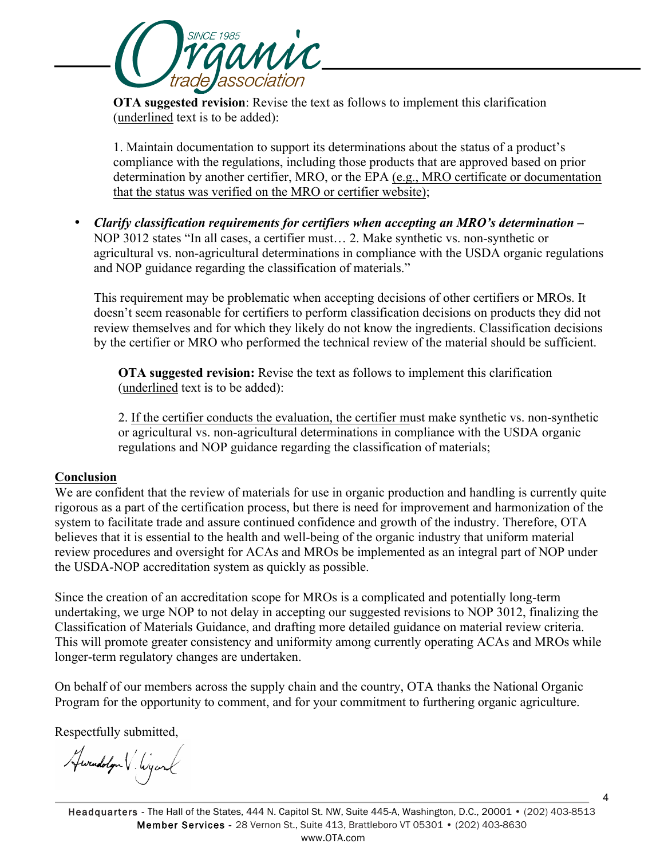

**OTA suggested revision**: Revise the text as follows to implement this clarification (underlined text is to be added):

1. Maintain documentation to support its determinations about the status of a product's compliance with the regulations, including those products that are approved based on prior determination by another certifier, MRO, or the EPA (e.g., MRO certificate or documentation that the status was verified on the MRO or certifier website);

• *Clarify classification requirements for certifiers when accepting an MRO's determination –* NOP 3012 states "In all cases, a certifier must… 2. Make synthetic vs. non-synthetic or agricultural vs. non-agricultural determinations in compliance with the USDA organic regulations and NOP guidance regarding the classification of materials."

This requirement may be problematic when accepting decisions of other certifiers or MROs. It doesn't seem reasonable for certifiers to perform classification decisions on products they did not review themselves and for which they likely do not know the ingredients. Classification decisions by the certifier or MRO who performed the technical review of the material should be sufficient.

**OTA suggested revision:** Revise the text as follows to implement this clarification (underlined text is to be added):

2. If the certifier conducts the evaluation, the certifier must make synthetic vs. non-synthetic or agricultural vs. non-agricultural determinations in compliance with the USDA organic regulations and NOP guidance regarding the classification of materials;

## **Conclusion**

We are confident that the review of materials for use in organic production and handling is currently quite rigorous as a part of the certification process, but there is need for improvement and harmonization of the system to facilitate trade and assure continued confidence and growth of the industry. Therefore, OTA believes that it is essential to the health and well-being of the organic industry that uniform material review procedures and oversight for ACAs and MROs be implemented as an integral part of NOP under the USDA-NOP accreditation system as quickly as possible.

Since the creation of an accreditation scope for MROs is a complicated and potentially long-term undertaking, we urge NOP to not delay in accepting our suggested revisions to NOP 3012, finalizing the Classification of Materials Guidance, and drafting more detailed guidance on material review criteria. This will promote greater consistency and uniformity among currently operating ACAs and MROs while longer-term regulatory changes are undertaken.

On behalf of our members across the supply chain and the country, OTA thanks the National Organic Program for the opportunity to comment, and for your commitment to furthering organic agriculture.

Respectfully submitted,

Hwendolyn V. Wyand